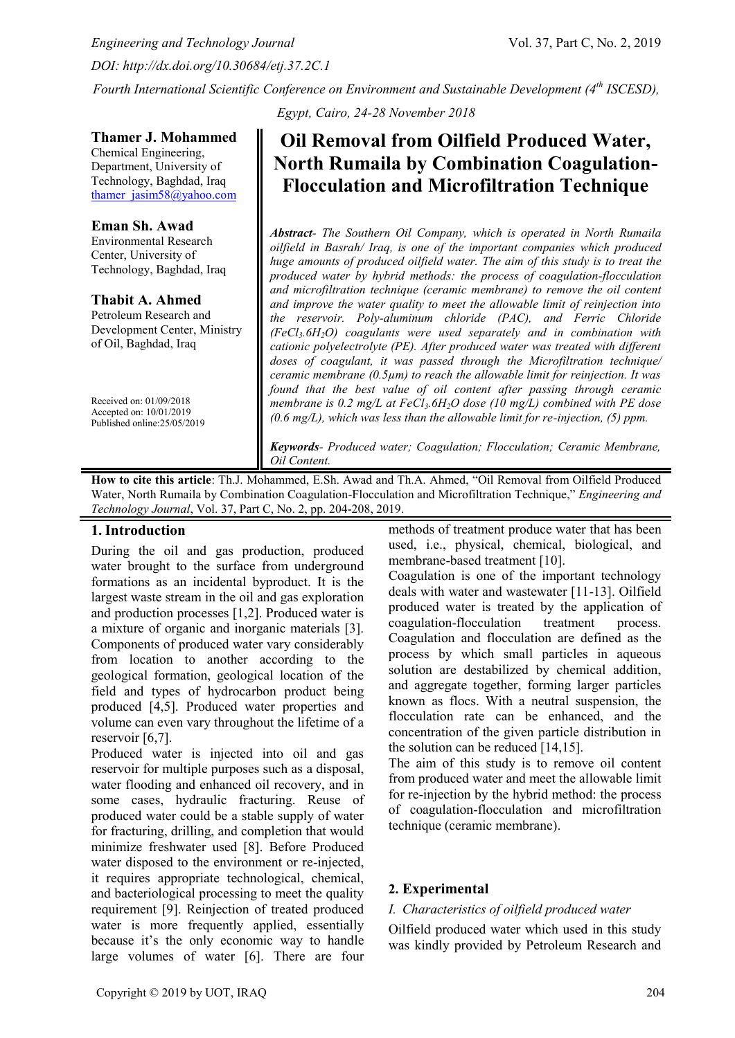*Engineering and Technology Journal* Vol. 37, Part C, No. 2, 2019 *DOI: http://dx.doi.org/10.30684/etj.37.2C.1*

**Thamer J. Mohammed**  Chemical Engineering, Department, University of Technology, Baghdad, Iraq [thamer\\_jasim58@yahoo.com](mailto:thamer_jasim58@yahoo.com)

**Eman Sh. Awad** Environmental Research Center, University of Technology, Baghdad, Iraq

**Thabit A. Ahmed** Petroleum Research and Development Center, Ministry

of Oil, Baghdad, Iraq

Received on: 01/09/2018 Accepted on: 10/01/2019 Published online:25/05/2019

*Fourth International Scientific Conference on Environment and Sustainable Development (4th ISCESD),* 

*Egypt, Cairo, 24-28 November 2018*

# **Oil Removal from Oilfield Produced Water, North Rumaila by Combination Coagulation-Flocculation and Microfiltration Technique**

*Abstract- The Southern Oil Company, which is operated in North Rumaila oilfield in Basrah/ Iraq, is one of the important companies which produced huge amounts of produced oilfield water. The aim of this study is to treat the produced water by hybrid methods: the process of coagulation-flocculation and microfiltration technique (ceramic membrane) to remove the oil content and improve the water quality to meet the allowable limit of reinjection into the reservoir. Poly-aluminum chloride (PAC), and Ferric Chloride (FeCl3.6H2O) coagulants were used separately and in combination with cationic polyelectrolyte (PE). After produced water was treated with different doses of coagulant, it was passed through the Microfiltration technique/ ceramic membrane (0.5µm) to reach the allowable limit for reinjection. It was found that the best value of oil content after passing through ceramic membrane is 0.2 mg/L at FeCl3.6H2O dose (10 mg/L) combined with PE dose (0.6 mg/L), which was less than the allowable limit for re-injection, (5) ppm.*

*Keywords- Produced water; Coagulation; Flocculation; Ceramic Membrane, Oil Content.*

**How to cite this article**: Th.J. Mohammed, E.Sh. Awad and Th.A. Ahmed, "Oil Removal from Oilfield Produced Water, North Rumaila by Combination Coagulation-Flocculation and Microfiltration Technique," *Engineering and Technology Journal*, Vol. 37, Part C, No. 2, pp. 204-208, 2019.

# **1.Introduction**

During the oil and gas production, produced water brought to the surface from underground formations as an incidental byproduct. It is the largest waste stream in the oil and gas exploration and production processes [1,2]. Produced water is a mixture of organic and inorganic materials [3]. Components of produced water vary considerably from location to another according to the geological formation, geological location of the field and types of hydrocarbon product being produced [4,5]. Produced water properties and volume can even vary throughout the lifetime of a reservoir [6,7].

Produced water is injected into oil and gas reservoir for multiple purposes such as a disposal, water flooding and enhanced oil recovery, and in some cases, hydraulic fracturing. Reuse of produced water could be a stable supply of water for fracturing, drilling, and completion that would minimize freshwater used [8]. Before Produced water disposed to the environment or re-injected, it requires appropriate technological, chemical, and bacteriological processing to meet the quality requirement [9]. Reinjection of treated produced water is more frequently applied, essentially because it's the only economic way to handle large volumes of water [6]. There are four

methods of treatment produce water that has been used, i.e., physical, chemical, biological, and membrane-based treatment [10].

Coagulation is one of the important technology deals with water and wastewater [11-13]. Oilfield produced water is treated by the application of coagulation-flocculation treatment process. Coagulation and flocculation are defined as the process by which small particles in aqueous solution are destabilized by chemical addition, and aggregate together, forming larger particles known as flocs. With a neutral suspension, the flocculation rate can be enhanced, and the concentration of the given particle distribution in the solution can be reduced [14,15].

The aim of this study is to remove oil content from produced water and meet the allowable limit for re-injection by the hybrid method: the process of coagulation-flocculation and microfiltration technique (ceramic membrane).

# **2. Experimental**

#### *I. Characteristics of oilfield produced water*

Oilfield produced water which used in this study was kindly provided by Petroleum Research and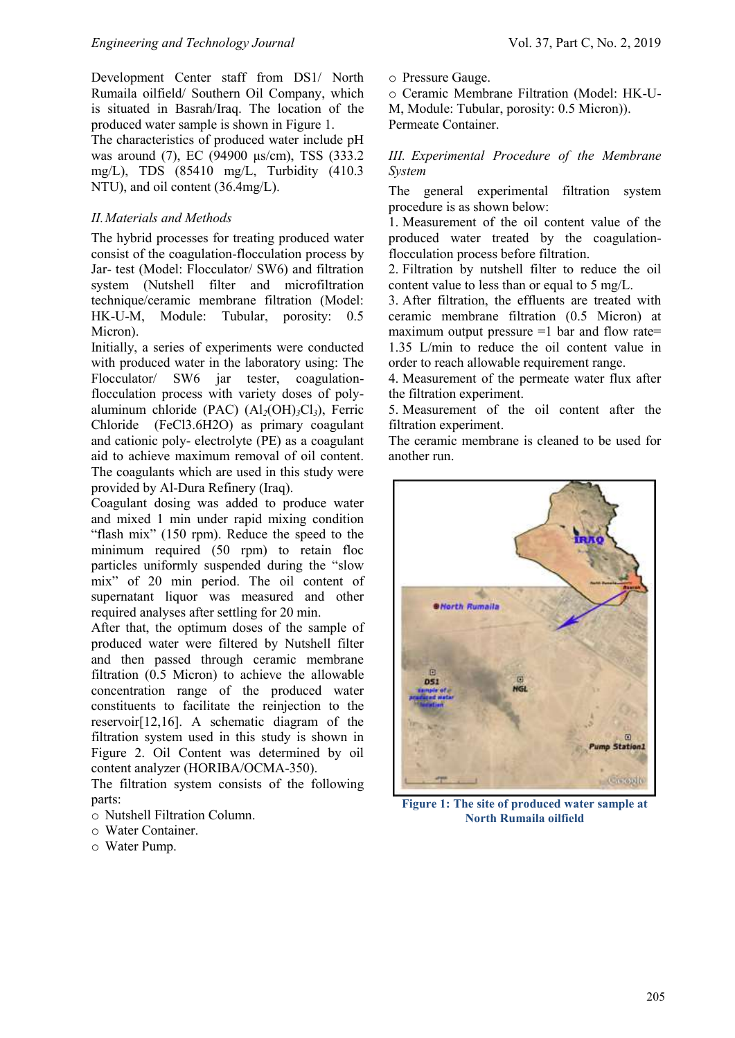Development Center staff from DS1/ North Rumaila oilfield/ Southern Oil Company, which is situated in Basrah/Iraq. The location of the produced water sample is shown in Figure 1.

The characteristics of produced water include pH was around (7), EC (94900 μs/cm), TSS (333.2 mg/L), TDS (85410 mg/L, Turbidity (410.3 NTU), and oil content (36.4mg/L).

## *II.Materials and Methods*

The hybrid processes for treating produced water consist of the coagulation-flocculation process by Jar- test (Model: Flocculator/ SW6) and filtration system (Nutshell filter and microfiltration technique/ceramic membrane filtration (Model: HK-U-M, Module: Tubular, porosity: 0.5 Micron).

Initially, a series of experiments were conducted with produced water in the laboratory using: The Flocculator/ SW6 jar tester, coagulationflocculation process with variety doses of polyaluminum chloride (PAC) (Al*2*(OH)*3*Cl*3*), Ferric Chloride (FeCl3.6H2O) as primary coagulant and cationic poly- electrolyte (PE) as a coagulant aid to achieve maximum removal of oil content. The coagulants which are used in this study were provided by Al-Dura Refinery (Iraq).

Coagulant dosing was added to produce water and mixed 1 min under rapid mixing condition "flash mix" (150 rpm). Reduce the speed to the minimum required (50 rpm) to retain floc particles uniformly suspended during the "slow mix" of 20 min period. The oil content of supernatant liquor was measured and other required analyses after settling for 20 min.

After that, the optimum doses of the sample of produced water were filtered by Nutshell filter and then passed through ceramic membrane filtration (0.5 Micron) to achieve the allowable concentration range of the produced water constituents to facilitate the reinjection to the reservoir[12,16]. A schematic diagram of the filtration system used in this study is shown in Figure 2. Oil Content was determined by oil content analyzer (HORIBA/OCMA-350).

The filtration system consists of the following parts:

- o Nutshell Filtration Column.
- o Water Container.
- o Water Pump.

o Pressure Gauge.

o Ceramic Membrane Filtration (Model: HK-U-M, Module: Tubular, porosity: 0.5 Micron)). Permeate Container.

*III. Experimental Procedure of the Membrane System*

The general experimental filtration system procedure is as shown below:

1. Measurement of the oil content value of the produced water treated by the coagulationflocculation process before filtration.

2. Filtration by nutshell filter to reduce the oil content value to less than or equal to 5 mg/L.

3. After filtration, the effluents are treated with ceramic membrane filtration (0.5 Micron) at maximum output pressure  $=1$  bar and flow rate= 1.35 L/min to reduce the oil content value in order to reach allowable requirement range.

4. Measurement of the permeate water flux after the filtration experiment.

5. Measurement of the oil content after the filtration experiment.

The ceramic membrane is cleaned to be used for another run.



**Figure 1: The site of produced water sample at North Rumaila oilfield**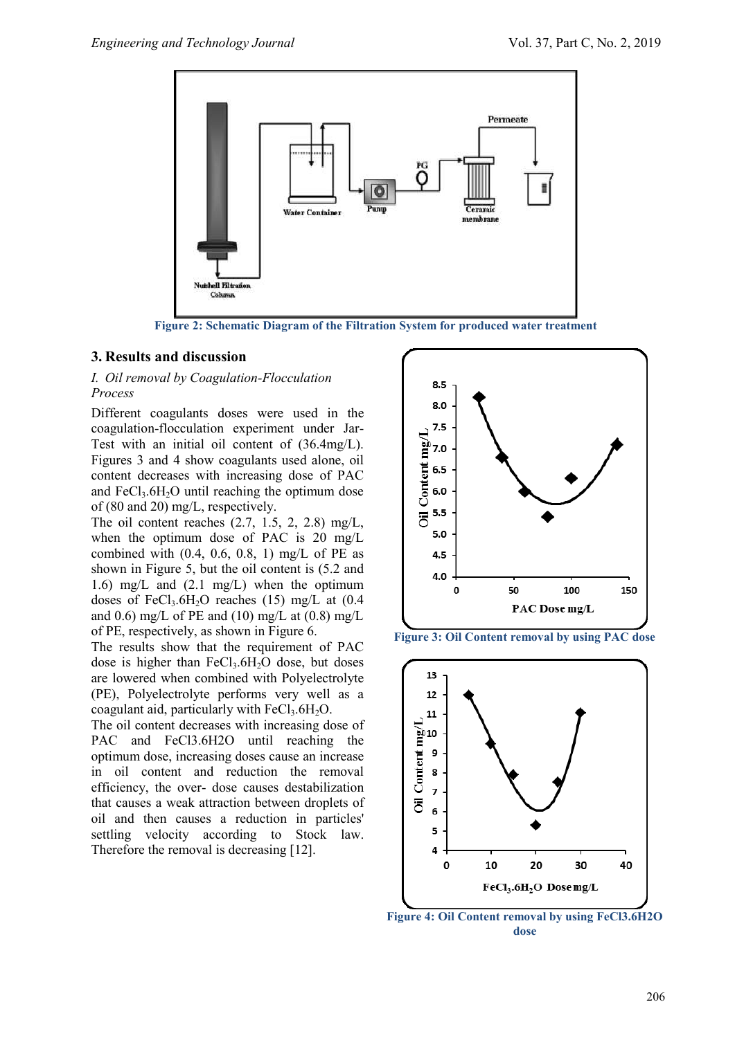

**Figure 2: Schematic Diagram of the Filtration System for produced water treatment**

## **3. Results and discussion**

## *I. Oil removal by Coagulation-Flocculation Process*

Different coagulants doses were used in the coagulation-flocculation experiment under Jar-Test with an initial oil content of (36.4mg/L). Figures 3 and 4 show coagulants used alone, oil content decreases with increasing dose of PAC and  $FeCl<sub>3</sub>·6H<sub>2</sub>O$  until reaching the optimum dose of (80 and 20) mg/L, respectively.

The oil content reaches  $(2.7, 1.5, 2, 2.8)$  mg/L, when the optimum dose of PAC is 20 mg/L combined with  $(0.4, 0.6, 0.8, 1)$  mg/L of PE as shown in Figure 5, but the oil content is (5.2 and 1.6) mg/L and (2.1 mg/L) when the optimum doses of FeCl<sub>3</sub>.6H<sub>2</sub>O reaches (15) mg/L at  $(0.4)$ and 0.6) mg/L of PE and (10) mg/L at  $(0.8)$  mg/L of PE, respectively, as shown in Figure 6.

The results show that the requirement of PAC dose is higher than  $FeCl<sub>3</sub>.6H<sub>2</sub>O$  dose, but doses are lowered when combined with Polyelectrolyte (PE), Polyelectrolyte performs very well as a coagulant aid, particularly with  $FeCl<sub>3</sub>.6H<sub>2</sub>O$ .

The oil content decreases with increasing dose of PAC and FeCl3.6H2O until reaching the optimum dose, increasing doses cause an increase in oil content and reduction the removal efficiency, the over- dose causes destabilization that causes a weak attraction between droplets of oil and then causes a reduction in particles' settling velocity according to Stock law. Therefore the removal is decreasing [12].



**Figure 3: Oil Content removal by using PAC dose**



**Figure 4: Oil Content removal by using FeCl3.6H2O dose**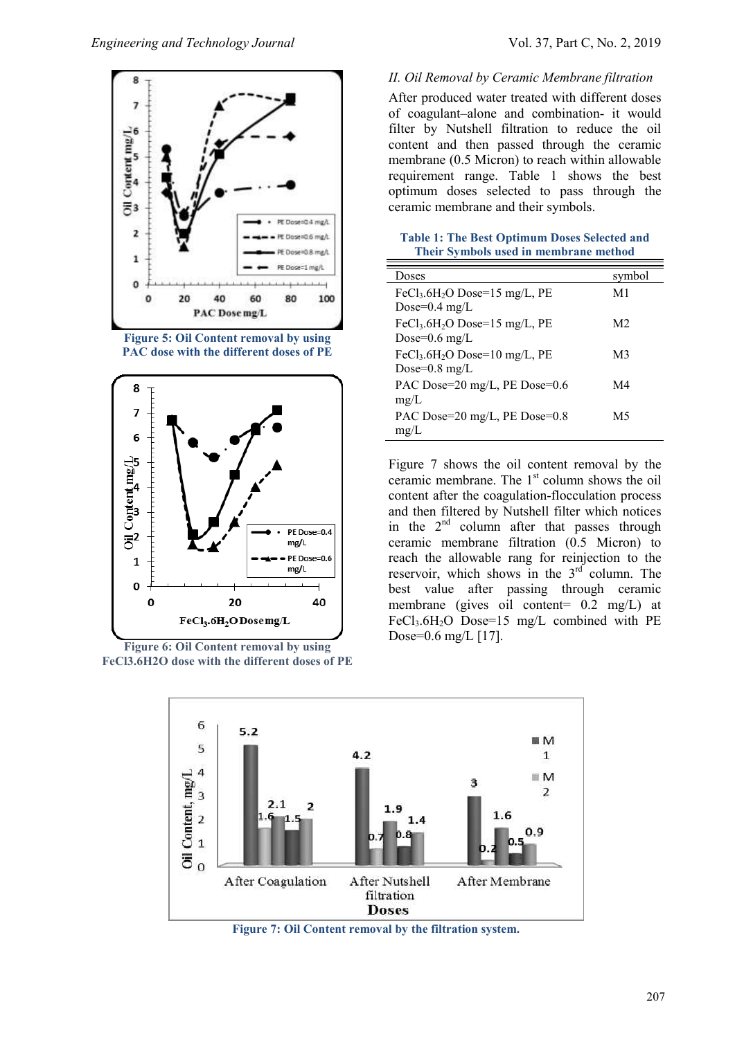





**Figure 6: Oil Content removal by using FeCl3.6H2O dose with the different doses of PE**

#### *II. Oil Removal by Ceramic Membrane filtration*

After produced water treated with different doses of coagulant–alone and combination- it would filter by Nutshell filtration to reduce the oil content and then passed through the ceramic membrane (0.5 Micron) to reach within allowable requirement range. Table 1 shows the best optimum doses selected to pass through the ceramic membrane and their symbols.

**Table 1: The Best Optimum Doses Selected and Their Symbols used in membrane method**

| Doses                                                                             | symbol |
|-----------------------------------------------------------------------------------|--------|
| FeCl <sub>3</sub> .6H <sub>2</sub> O Dose=15 mg/L, PE<br>Dose= $0.4 \text{ mg/L}$ | M1     |
| FeCl <sub>3</sub> .6H <sub>2</sub> O Dose=15 mg/L, PE<br>Dose= $0.6$ mg/L         | M2     |
| FeCl <sub>3</sub> .6H <sub>2</sub> O Dose=10 mg/L, PE<br>Dose= $0.8 \text{ mg/L}$ | M3     |
| PAC Dose=20 mg/L, PE Dose=0.6<br>mg/L                                             | M4     |
| PAC Dose= $20 \text{ mg/L}$ , PE Dose= $0.8$<br>mg/L                              | М5     |

Figure 7 shows the oil content removal by the ceramic membrane. The 1<sup>st</sup> column shows the oil content after the coagulation-flocculation process and then filtered by Nutshell filter which notices in the  $2<sup>nd</sup>$  column after that passes through ceramic membrane filtration (0.5 Micron) to reach the allowable rang for reinjection to the reservoir, which shows in the  $3<sup>rd</sup>$  column. The best value after passing through ceramic membrane (gives oil content= 0.2 mg/L) at FeCl<sub>3</sub>.6H<sub>2</sub>O Dose=15 mg/L combined with PE Dose=0.6 mg/L [17].



ţ

**Figure 7: Oil Content removal by the filtration system.**